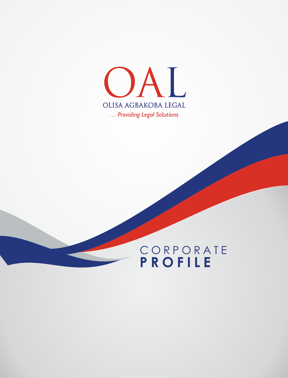

# C O R P O R A T E **P R O F I L E**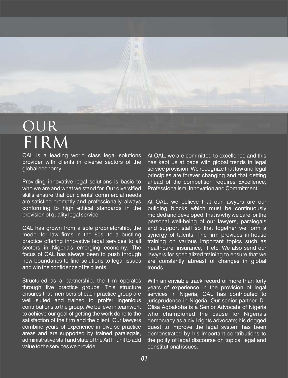

OAL is a leading world class legal solutions provider with clients in diverse sectors of the global economy.

Providing innovative legal solutions is basic to who we are and what we stand for. Our diversified skills ensure that our clients' commercial needs are satisfied promptly and professionally, always conforming to high ethical standards in the provision of quality legal service.

OAL has grown from a sole proprietorship, the model for law firms in the 60s, to a bustling practice offering innovative legal services to all sectors in Nigeria's emerging economy. The focus of OAL has always been to push through new boundaries to find solutions to legal issues and win the confidence of its clients.

Structured as a partnership, the firm operates through five practice groups. This structure ensures that members of each practice group are well suited and trained to proffer ingenious contributions to the group. We believe in teamwork to achieve our goal of getting the work done to the satisfaction of the firm and the client. Our lawyers combine years of experience in diverse practice areas and are supported by trained paralegals, administrative staff and state of the Art IT unit to add value to the services we provide.

At OAL, we are committed to excellence and this has kept us at pace with global trends in legal service provision. We recognize that law and legal principles are forever changing and that getting ahead of the competition requires Excellence, Professionalism, Innovation and Commitment.

At OAL, we believe that our lawyers are our building blocks which must be continuously molded and developed, that is why we care for the personal well-being of our lawyers, paralegals and support staff so that together we form a synergy of talents. The firm provides in-house training on various important topics such as healthcare, insurance, IT etc. We also send our lawyers for specialized training to ensure that we are constantly abreast of changes in global trends.

With an enviable track record of more than forty years of experience in the provision of legal services in Nigeria, OAL has contributed to jurisprudence in Nigeria. Our senior partner, Dr. Olisa Agbakoba is a Senior Advocate of Nigeria who championed the cause for Nigeria's democracy as a civil rights advocate; his dogged quest to improve the legal system has been demonstrated by his important contributions to the polity of legal discourse on topical legal and constitutional issues.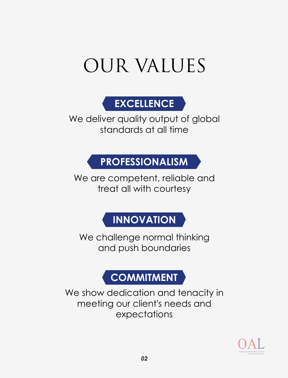# OUR VALUES



We deliver quality output of global standards at all time

# **PROFESSIONALISM**

We are competent, reliable and treat all with courtesy

# **INNOVATION**

We challenge normal thinking and push boundaries

# **COMMITMENT**

We show dedication and tenacity in meeting our client's needs and expectations

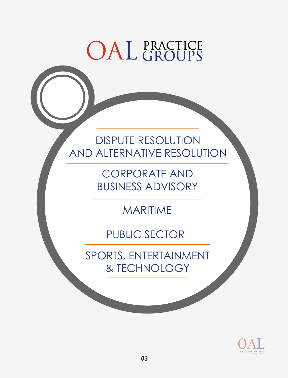# OAL PRACTICE

DISPUTE RESOLUTION AND ALTERNATIVE RESOLUTION

> CORPORATE AND BUSINESS ADVISORY

> > MARITIME

PUBLIC SECTOR

SPORTS, ENTERTAINMENT & TECHNOLOGY

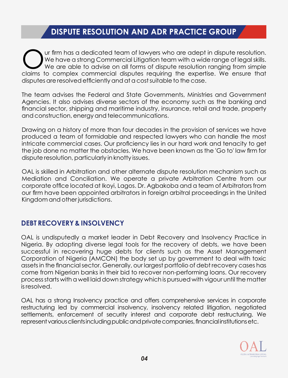### **DISPUTE RESOLUTION AND ADR PRACTICE GROUP**

Ur firm has a dedicated team of lawyers who are adept in dispute resolution.<br>We have a strong Commercial Litigation team with a wide range of legal skills.<br>Owe are able to advise on all forms of dispute resolution ranging We are able to advise on all forms of dispute resolution ranging from simple claims to complex commercial disputes requiring the expertise. We ensure that disputes are resolved efficiently and at a cost suitable to the case.

The team advises the Federal and State Governments, Ministries and Government Agencies. It also advises diverse sectors of the economy such as the banking and financial sector, shipping and maritime industry, insurance, retail and trade, property and construction, energy and telecommunications.

Drawing on a history of more than four decades in the provision of services we have produced a team of formidable and respected lawyers who can handle the most intricate commercial cases. Our proficiency lies in our hard work and tenacity to get the job done no matter the obstacles. We have been known as the 'Go to' law firm for dispute resolution, particularly in knotty issues.

OAL is skilled in Arbitration and other alternate dispute resolution mechanism such as Mediation and Conciliation. We operate a private Arbitration Centre from our corporate office located at Ikoyi, Lagos. Dr. Agbakoba and a team of Arbitrators from our firm have been appointed arbitrators in foreign arbitral proceedings in the United Kingdom and other jurisdictions.

### **DEBT RECOVERY & INSOLVENCY**

OAL is undisputedly a market leader in Debt Recovery and Insolvency Practice in Nigeria. By adopting diverse legal tools for the recovery of debts, we have been successful in recovering huge debts for clients such as the Asset Management Corporation of Nigeria (AMCON) the body set up by government to deal with toxic assets in the financial sector. Generally, our largest portfolio of debt recovery cases has come from Nigerian banks in their bid to recover non-performing loans. Our recovery process starts with a well laid down strategy which is pursued with vigour until the matter is resolved.

OAL has a strong Insolvency practice and offers comprehensive services in corporate restructuring led by commercial insolvency, insolvency related litigation, negotiated settlements, enforcement of security interest and corporate debt restructuring. We represent various clients including public and private companies, financial institutions etc.

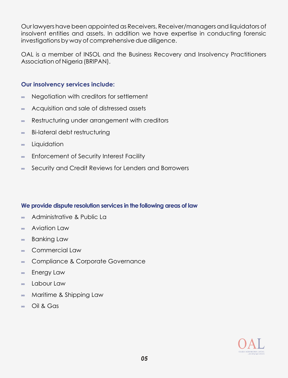Our lawyers have been appointed as Receivers, Receiver/managers and liquidators of insolvent entities and assets. In addition we have expertise in conducting forensic investigations by way of comprehensive due diligence.

OAL is a member of INSOL and the Business Recovery and Insolvency Practitioners Association of Nigeria (BRIPAN).

#### **Our insolvency services include:**

- ∞ Negotiation with creditors for settlement
- ∞ Acquisition and sale of distressed assets
- ∞ Restructuring under arrangement with creditors
- ∞ Bi-lateral debt restructuring
- ∞ **Liquidation**
- ∞ Enforcement of Security Interest Facility
- ∞ Security and Credit Reviews for Lenders and Borrowers

### **We provide dispute resolution services in the following areas of law**

- ∞ Administrative & Public La
- ∞ Aviation Law
- ∞ Banking Law
- ∞ Commercial Law
- ∞ Compliance & Corporate Governance
- ∞ Energy Law
- ∞ Labour Law
- ∞ Maritime & Shipping Law
- ∞ Oil & Gas

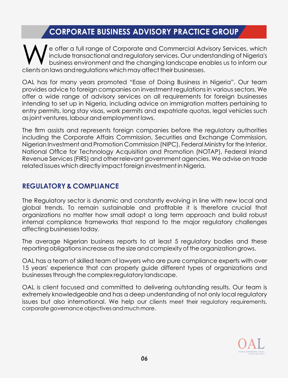## **CORPORATE BUSINESS ADVISORY PRACTICE GROUP**

e offer a full range of Corporate and Commercial Advisory Services, which include transactional and regulatory services. Our understanding of Nigeria's business environment and the changing landscape enables us to inform our clients on laws and regulations which may affect their businesses.

OAL has for many years promoted "Ease of Doing Business in Nigeria". Our team provides advice to foreign companies on investment regulations in various sectors. We offer a wide range of advisory services on all requirements for foreign businesses intending to set up in Nigeria, including advice on immigration matters pertaining to entry permits, long stay visas, work permits and expatriate quotas, legal vehicles such as joint ventures, labour and employment laws.

The firm assists and represents foreign companies before the regulatory authorities including the Corporate Affairs Commission, Securities and Exchange Commission, Nigerian Investment and Promotion Commission (NIPC), Federal Ministry for the Interior, National Office for Technology Acquisition and Promotion (NOTAP), Federal Inland Revenue Services (FIRS) and other relevant government agencies. We advise on trade related issues which directly impact foreign investment in Nigeria.

### **REGULATORY & COMPLIANCE**

The Regulatory sector is dynamic and constantly evolving in line with new local and global trends. To remain sustainable and profitable it is therefore crucial that organizations no matter how small adopt a long term approach and build robust internal compliance frameworks that respond to the major regulatory challenges affecting businesses today.

The average Nigerian business reports to at least 5 regulatory bodies and these reporting obligations increase as the size and complexity of the organization grows.

OAL has a team of skilled team of lawyers who are pure compliance experts with over 15 years' experience that can properly guide different types of organizations and businesses through the complex regulatory landscape.

OAL is client focused and committed to delivering outstanding results. Our team is extremely knowledgeable and has a deep understanding of not only local regulatory issues but also international. We help our clients meet their regulatory requirements, corporate governance objectives and much more.

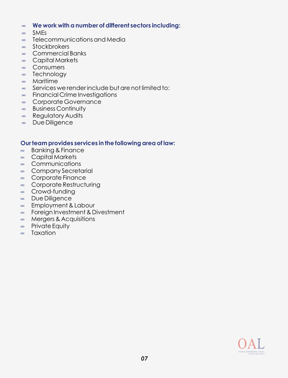#### ∞ **We work with a number of different sectors including:**

- ∞ SMEs
- ∞ Telecommunications and Media
- ∞ **Stockbrokers**
- ∞ Commercial Banks
- ∞ Capital Markets
- ∞ **Consumers**
- ∞ **Technology**
- ∞ Maritime
- ∞ Services we render include but are not limited to:
- ∞ Financial Crime Investigations
- ∞ Corporate Governance
- ∞ Business Continuity
- ∞ Regulatory Audits
- ∞ Due Diligence

#### **Our team provides services in the following area of law:**

- ∞ Banking & Finance
- ∞ Capital Markets
- ∞ Communications
- ∞ Company Secretarial
- ∞ Corporate Finance
- ∞ Corporate Restructuring
- ∞ Crowd-funding
- ∞ Due Diligence
- ∞ Employment & Labour
- ∞ Foreign Investment & Divestment
- ∞ Mergers & Acquisitions
- ∞ Private Equity
- ∞ Taxation

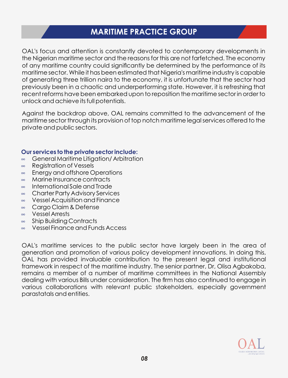### **MARITIME PRACTICE GROUP**

OAL's focus and attention is constantly devoted to contemporary developments in the Nigerian maritime sector and the reasons for this are not farfetched. The economy of any maritime country could significantly be determined by the performance of its maritime sector. While it has been estimated that Nigeria's maritime industry is capable of generating three trillion naira to the economy, it is unfortunate that the sector had previously been in a chaotic and underperforming state. However, it is refreshing that recent reforms have been embarked upon to reposition the maritime sector in order to unlock and achieve its full potentials.

Against the backdrop above, OAL remains committed to the advancement of the maritime sector through its provision of top notch maritime legal services offered to the private and public sectors.

#### **Our services to the private sector include:**

- ∞ General Maritime Litigation/ Arbitration
- ∞ Registration of Vessels
- ∞ Energy and offshore Operations
- ∞ Marine Insurance contracts
- ∞ International Sale and Trade
- ∞ Charter Party Advisory Services
- ∞ Vessel Acquisition and Finance
- ∞ Cargo Claim & Defense
- ∞ Vessel Arrests
- ∞ Ship Building Contracts
- ∞ Vessel Finance and Funds Access

OAL's maritime services to the public sector have largely been in the area of generation and promotion of various policy development innovations. In doing this, OAL has provided invaluable contribution to the present legal and institutional framework in respect of the maritime industry. The senior partner, Dr, Olisa Agbakoba, remains a member of a number of maritime committees in the National Assembly dealing with various Bills under consideration. The firm has also continued to engage in various collaborations with relevant public stakeholders, especially government parastatals and entities.

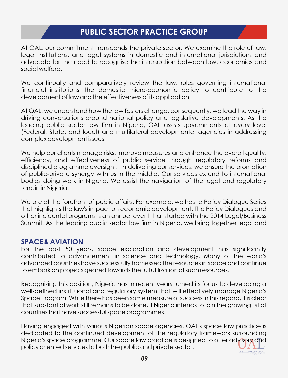### **PUBLIC SECTOR PRACTICE GROUP**

At OAL, our commitment transcends the private sector. We examine the role of law, legal institutions, and legal systems in domestic and international jurisdictions and advocate for the need to recognise the intersection between law, economics and social welfare.

We continually and comparatively review the law, rules governing international financial institutions, the domestic micro-economic policy to contribute to the development of law and the effectiveness of its application.

At OAL, we understand how the law fosters change; consequently, we lead the way in driving conversations around national policy and legislative developments. As the leading public sector law firm in Nigeria, OAL assists governments at every level (Federal, State, and local) and multilateral developmental agencies in addressing complex development issues.

We help our clients manage risks, improve measures and enhance the overall quality, efficiency, and effectiveness of public service through regulatory reforms and disciplined programme oversight. In delivering our services, we ensure the promotion of public-private synergy with us in the middle. Our services extend to international bodies doing work in Nigeria. We assist the navigation of the legal and regulatory terrain in Nigeria.

We are at the forefront of public affairs. For example, we host a Policy Dialogue Series that highlights the law's impact on economic development. The Policy Dialogues and other incidental programs is an annual event that started with the 2014 Legal/Business Summit. As the leading public sector law firm in Nigeria, we bring together legal and

### **SPACE & AVIATION**

For the past 50 years, space exploration and development has significantly contributed to advancement in science and technology. Many of the world's advanced countries have successfully harnessed the resources in space and continue to embark on projects geared towards the full utilization of such resources.

Recognizing this position, Nigeria has in recent years turned its focus to developing a well-defined institutional and regulatory system that will effectively manage Nigeria's Space Program. While there has been some measure of success in this regard, it is clear that substantial work still remains to be done, if Nigeria intends to join the growing list of countries that have successful space programmes.

Having engaged with various Nigerian space agencies, OAL's space law practice is dedicated to the continued development of the regulatory framework surrounding Nigeria's space programme. Our space law practice is designed to offer advisory and policy oriented services to both the public and private sector. OLISA AGBAKOBA LEGAL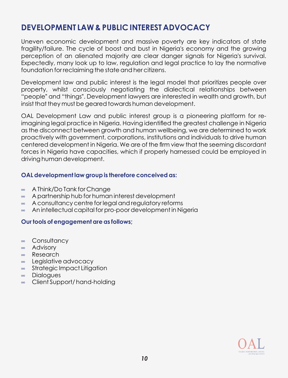### **DEVELOPMENT LAW & PUBLIC INTEREST ADVOCACY**

Uneven economic development and massive poverty are key indicators of state fragility/failure. The cycle of boost and bust in Nigeria's economy and the growing perception of an alienated majority are clear danger signals for Nigeria's survival. Expectedly, many look up to law, regulation and legal practice to lay the normative foundation for reclaiming the state and her citizens.

Development law and public interest is the legal model that prioritizes people over property, whilst consciously negotiating the dialectical relationships between "people? and "things?. Development lawyers are interested in wealth and growth, but insist that they must be geared towards human development.

OAL Development Law and public interest group is a pioneering platform for reimagining legal practice in Nigeria. Having identifled the greatest challenge in Nigeria as the disconnect between growth and human wellbeing, we are determined to work proactively with government, corporations, institutions and individuals to drive human centered development in Nigeria. We are of the firm view that the seeming discordant forces in Nigeria have capacities, which if properly harnessed could be employed in driving human development.

#### **OAL development law group is therefore conceived as:**

- ∞ A Think/Do Tank for Change
- ∞ A partnership hub for human interest development
- ∞ A consultancy centre for legal and regulatory reforms
- ∞ An intellectual capital for pro-poor development in Nigeria

#### **Our tools of engagement are as follows;**

- ∞ **Consultancy**
- ∞ Advisory
- ∞ Research
- ∞ Legislative advocacy
- ∞ Strategic Impact Litigation
- ∞ **Dialogues**
- ∞ Client Support/ hand-holding

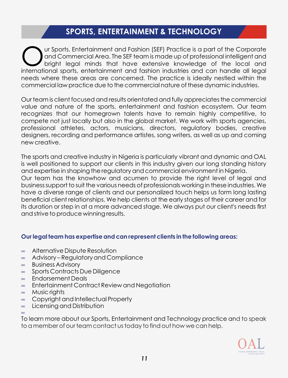### **SPORTS, ENTERTAINMENT & TECHNOLOGY**

ur Sports, Entertainment and Fashion (SEF) Practice is a part of the Corporate and Commercial Area. The SEF team is made up of professional intelligent and bright legal minds that have extensive knowledge of the local and international sports, entertainment and fashion industries and can handle all legal needs where these areas are concerned. The practice is ideally nestled within the commercial law practice due to the commercial nature of these dynamic industries.

Our team is client focused and results orientated and fully appreciates the commercial value and nature of the sports, entertainment and fashion ecosystem. Our team recognizes that our homegrown talents have to remain highly competitive, to compete not just locally but also in the global market. We work with sports agencies, professional athletes, actors, musicians, directors, regulatory bodies, creative designers, recording and performance artistes, song writers, as well as up and coming new creative.

The sports and creative industry in Nigeria is particularly vibrant and dynamic and OAL is well positioned to support our clients in this industry given our long standing history and expertise in shaping the regulatory and commercial environment in Nigeria. Our team has the knowhow and acumen to provide the right level of legal and business support to suit the various needs of professionals working in these industries. We have a diverse range of clients and our personalized touch helps us form long lasting beneficial client relationships. We help clients at the early stages of their career and for its duration or step in at a more advanced stage. We always put our client's needs first and strive to produce winning results.

#### **Our legal team has expertise and can represent clients in the following areas:**

- ∞ Alternative Dispute Resolution
- ∞ Advisory – Regulatory and Compliance
- ∞ Business Advisory
- ∞ Sports Contracts Due Diligence
- ∞ Endorsement Deals
- ∞ Entertainment Contract Review and Negotiation
- ∞ Music rights

∞

- ∞ Copyright and Intellectual Property
- ∞ Licensing and Distribution

To learn more about our Sports, Entertainment and Technology practice and to speak to a member of our team contact us today to find out how we can help.

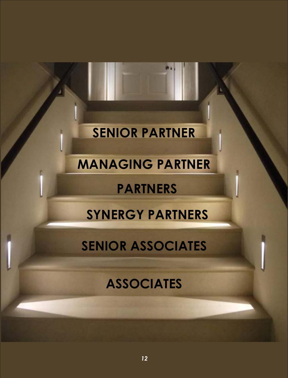# **SENIOR PARTNER**

# **MANAGING PARTNER**

# **PARTNERS**

# **SYNERGY PARTNERS**

# **SENIOR ASSOCIATES**

# **ASSOCIATES**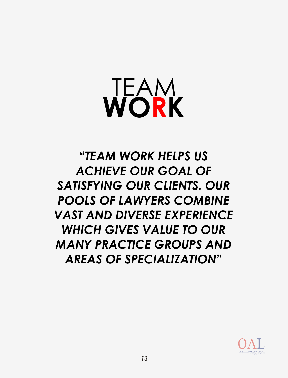# TEAM **WORK**

**"***TEAM WORK HELPS US ACHIEVE OUR GOAL OF SATISFYING OUR CLIENTS. OUR POOLS OF LAWYERS COMBINE VAST AND DIVERSE EXPERIENCE WHICH GIVES VALUE TO OUR MANY PRACTICE GROUPS AND AREAS OF SPECIALIZATION***"**

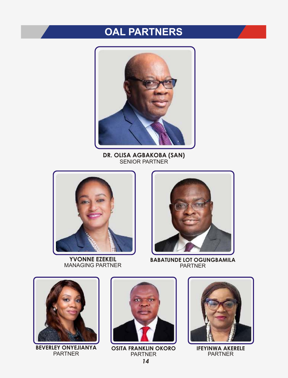# **OAL PARTNERS**



**DR. OLISA AGBAKOBA (SAN)** SENIOR PARTNER



**YVONNE EZEKEIL** MANAGING PARTNER



**BABATUNDE LOT OGUNGBAMILA** PARTNER



**BEVERLEY ONYEJIANYA** PARTNER



**OSITA FRANKLIN OKORO PARTNER** *14*



**IFEYINWA AKERELE** PARTNER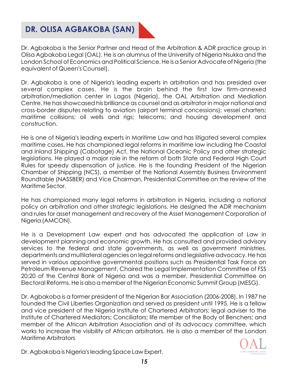# **DR. OLISA AGBAKOBA (SAN)**

Dr. Agbakoba is the Senior Partner and Head of the Arbitration & ADR practice group in Olisa Agbakoba Legal (OAL). He is an alumnus of the University of Nigeria Nsukka and the London School of Economics and Political Science. He is a Senior Advocate of Nigeria (the equivalent of Queen's Counsel).

Dr. Agbakoba is one of Nigeria's leading experts in arbitration and has presided over several complex cases. He is the brain behind the first law firm-annexed arbitration/mediation center in Lagos (Nigeria), the OAL Arbitration and Mediation Centre. He has showcased his brilliance as counsel and as arbitrator in major national and cross-border disputes relating to aviation (airport terminal concessions); vessel charters; maritime collisions; oil wells and rigs; telecoms; and housing development and construction.

He is one of Nigeria's leading experts in Maritime Law and has litigated several complex maritime cases. He has championed legal reforms in maritime law including the Coastal and Inland Shipping (Cabotage) Act, the National Oceanic Policy and other strategic legislations. He played a major role in the reform of both State and Federal High Court Rules for speedy dispensation of justice. He is the founding President of the Nigerian Chamber of Shipping (NCS), a member of the National Assembly Business Environment Roundtable (NASSBER) and Vice Chairman, Presidential Committee on the review of the Maritime Sector.

He has championed many legal reforms in arbitration in Nigeria, including a national policy on arbitration and other strategic legislations. He designed the ADR mechanism and rules for asset management and recovery of the Asset Management Corporation of Nigeria (AMCON).

He is a Development Law expert and has advocated the application of Law in development planning and economic growth. He has consulted and provided advisory services to the federal and state governments, as well as government ministries, departments and multilateral agencies on legal reforms and legislative advocacy. He has served in various appointive governmental positions such as Presidential Task Force on Petroleum Revenue Management, Chaired the Legal Implementation Committee of FSS 20:20 of the Central Bank of Nigeria and was a member, Presidential Committee on Electoral Reforms. He is also a member of the Nigerian Economic Summit Group (MESG).

Dr. Agbakoba is a former president of the Nigerian Bar Association (2006-2008). In 1987 he founded the Civil Liberties Organization and served as president until 1995. He is a fellow and vice president of the Nigeria Institute of Chartered Arbitrators; legal adviser to the Institute of Chartered Mediators; Conciliators; life member of the Body of Benchers; and member of the African Arbitration Association and of its advocacy committee, which works to increase the visibility of African arbitrators. He is also a member of the London Maritime Arbitrators

OLISA AGBAKOBA LEGAL

Dr. Agbakoba is Nigeria's leading Space Law Expert.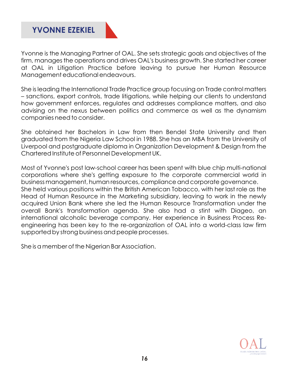

Yvonne is the Managing Partner of OAL. She sets strategic goals and objectives of the firm, manages the operations and drives OAL's business growth. She started her career at OAL in Litigation Practice before leaving to pursue her Human Resource Management educational endeavours.

She is leading the International Trade Practice group focusing on Trade control matters – sanctions, export controls, trade litigations, while helping our clients to understand how government enforces, regulates and addresses compliance matters, and also advising on the nexus between politics and commerce as well as the dynamism companies need to consider.

She obtained her Bachelors in Law from then Bendel State University and then graduated from the Nigeria Law School in 1988. She has an MBA from the University of Liverpool and postgraduate diploma in Organization Development & Design from the Chartered Institute of Personnel Development UK.

Most of Yvonne's post law-school career has been spent with blue chip multi-national corporations where she's getting exposure to the corporate commercial world in business management, human resources, compliance and corporate governance. She held various positions within the British American Tobacco, with her last role as the Head of Human Resource in the Marketing subsidiary, leaving to work in the newly acquired Union Bank where she led the Human Resource Transformation under the overall Bank's transformation agenda. She also had a stint with Diageo, an international alcoholic beverage company. Her experience in Business Process Reengineering has been key to the re-organization of OAL into a world-class law firm supported by strong business and people processes.

She is a member of the Nigerian Bar Association.

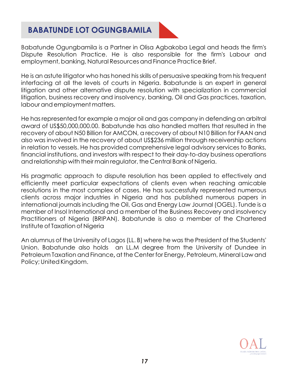### **BABATUNDE LOT OGUNGBAMILA**



Babatunde Ogungbamila is a Partner in Olisa Agbakoba Legal and heads the firm's Dispute Resolution Practice. He is also responsible for the firm's Labour and employment, banking, Natural Resources and Finance Practice Brief.

He is an astute litigator who has honed his skills of persuasive speaking from his frequent interfacing at all the levels of courts in Nigeria. Babatunde is an expert in general litigation and other alternative dispute resolution with specialization in commercial litigation, business recovery and insolvency, banking, Oil and Gas practices, taxation, labour and employment matters.

He has represented for example a major oil and gas company in defending an arbitral award of US\$50,000,000.00. Babatunde has also handled matters that resulted in the recovery of about N50 Billion for AMCON, a recovery of about N10 Billion for FAAN and also was involved in the recovery of about US\$236 million through receivership actions in relation to vessels. He has provided comprehensive legal advisory services to Banks, financial institutions, and investors with respect to their day-to-day business operations and relationship with their main regulator, the Central Bank of Nigeria.

His pragmatic approach to dispute resolution has been applied to effectively and efficiently meet particular expectations of clients even when reaching amicable resolutions in the most complex of cases. He has successfully represented numerous clients across major industries in Nigeria and has published numerous papers in international journals including the Oil, Gas and Energy Law Journal (OGEL). Tunde is a member of Insol International and a member of the Business Recovery and insolvency Practitioners of Nigeria (BRIPAN). Babatunde is also a member of the Chartered Institute of Taxation of Nigeria

An alumnus of the University of Lagos (LL. B) where he was the President of the Students' Union. Babatunde also holds an LL.M degree from the University of Dundee in Petroleum Taxation and Finance**,** at the Center for Energy, Petroleum, Mineral Law and Policy; United Kingdom.

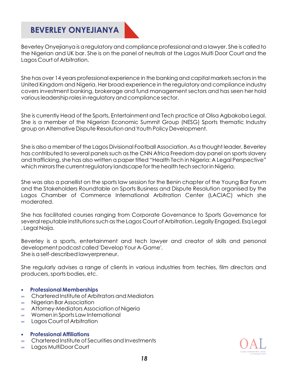## **BEVERLEY ONYEJIANYA**

Beverley Onyejianya is a regulatory and compliance professional and a lawyer. She is called to the Nigerian and UK bar. She is on the panel of neutrals at the Lagos Multi Door Court and the Lagos Court of Arbitration.

She has over 14 years professional experience in the banking and capital markets sectors in the United Kingdom and Nigeria. Her broad experience in the regulatory and compliance industry covers investment banking, brokerage and fund management sectors and has seen her hold various leadership roles in regulatory and compliance sector.

She is currently Head of the Sports, Entertainment and Tech practice at Olisa Agbakoba Legal. She is a member of the Nigerian Economic Summit Group (NESG) Sports thematic Industry group on Alternative Dispute Resolution and Youth Policy Development.

She is also a member of the Lagos Divisional Football Association. As a thought leader, Beverley has contributed to several panels such as the CNN Africa Freedom day panel on sports slavery and trafficking, she has also written a paper titled "Health Tech in Nigeria: A Legal Perspective" which mirrors the current regulatory landscape for the health tech sector in Nigeria.

She was also a panellist on the sports law session for the Benin chapter of the Young Bar Forum and the Stakeholders Roundtable on Sports Business and Dispute Resolution organised by the Lagos Chamber of Commerce International Arbitration Center (LACIAC) which she moderated.

She has facilitated courses ranging from Corporate Governance to Sports Governance for several reputable institutions such as the Lagos Court of Arbitration, Legally Engaged, Esq Legal , Legal Naija.

Beverley is a sports, entertainment and tech lawyer and creator of skills and personal development podcast called 'Develop Your A-Game'. She is a self-described lawyerpreneur.

She regularly advises a range of clients in various industries from techies, film directors and producers, sports bodies, etc.

- **Professional Memberships**
- ∞ Chartered Institute of Arbitrators and Mediators
- ∞ Nigerian Bar Association
- ∞ Attorney-Mediators Association of Nigeria
- ∞ Women in Sports Law International
- ∞ Lagos Court of Arbitration
- **Professional Affiliations**
- ∞ Chartered Institute of Securities and Investments
- ∞ Lagos MultiDoor Court

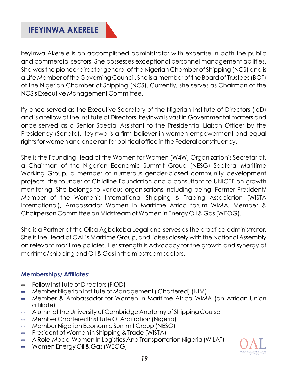### **IFEYINWA AKERELE**

lfeyinwa Akerele is an accomplished administrator with expertise in both the public and commercial sectors. She possesses exceptional personnel management abilities. She was the pioneer director general of the Nigerian Chamber of Shipping (NCS) and is a Life Member of the Governing Council. She is a member of the Board of Trustees (BOT) of the Nigerian Chamber of Shipping (NCS). Currently, she serves as Chairman of the NCS's Executive Management Committee.

lfy once served as the Executive Secretary of the Nigerian Institute of Directors (loD) and is a fellow of the Institute of Directors. lfeyinwa is vast in Governmental matters and once served as a Senior Special Assistant to the Presidential Liaison Officer by the Presidency (Senate). lfeyinwa is a firm believer in women empowerment and equal rights for women and once ran for political office in the Federal constituency.

She is the Founding Head of the Women for Women (W4W) Organization's Secretariat, a Chairman of the Nigerian Economic Summit Group (NESG) Sectoral Maritime Working Group, a member of numerous gender-biased community development projects, the founder of Childline Foundation and a consultant to UNICEF on growth monitoring. She belongs to various organisations including being: Former President/ Member of the Women's International Shipping & Trading Association (WISTA International), Ambassador Women in Maritime Africa forum WIMA, Member & Chairperson Committee on Midstream of Women in Energy Oil & Gas (WEOG).

She is a Partner at the Olisa Agbakoba Legal and serves as the practice administrator. She is the Head of OAL's Maritime Group, and liaises closely with the National Assembly on relevant maritime policies. Her strength is Advocacy for the growth and synergy of maritime/ shipping and Oil & Gas in the midstream sectors.

### **Memberships/ Affiliates:**

- ∞ Fellow Institute of Directors (FIOD)
- ∞ Member Nigerian Institute of Management ( Chartered) (NIM)
- ∞ Member & Ambassador for Women in Maritime Africa WIMA (an African Union affiliate)
- ∞ Alumni of the University of Cambridge Anatomy of Shipping Course
- ∞ Member Chartered Institute Of Arbitration (Nigeria)
- ∞ Member Nigerian Economic Summit Group (NESG)
- ∞ President of Women in Shipping & Trade (WISTA)
- ∞ A Role-Model Women In Logistics And Transportation Nigeria (WILAT)
- ∞ Women Energy Oil & Gas (WEOG)

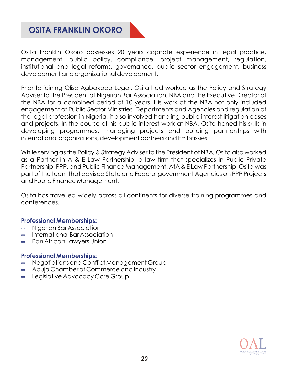## **OSITA FRANKLIN OKORO**

Osita Franklin Okoro possesses 20 years cognate experience in legal practice, management, public policy, compliance, project management, regulation, institutional and legal reforms, governance, public sector engagement, business development and organizational development.

Prior to joining Olisa Agbakoba Legal, Osita had worked as the Policy and Strategy Adviser to the President of Nigerian Bar Association, NBA and the Executive Director of the NBA for a combined period of 10 years. His work at the NBA not only included engagement of Public Sector Ministries, Departments and Agencies and regulation of the legal profession in Nigeria, it also involved handling public interest litigation cases and projects. In the course of his public interest work at NBA, Osita honed his skills in developing programmes, managing projects and building partnerships with international organizations, development partners and Embassies.

While serving as the Policy & Strategy Adviser to the President of NBA, Osita also worked as a Partner in A & E Law Partnership, a law firm that specializes in Public Private Partnership, PPP, and Public Finance Management. AtA & E Law Partnership, Osita was part of the team that advised State and Federal government Agencies on PPP Projects and Public Finance Management.

Osita has travelled widely across all continents for diverse training programmes and conferences.

#### **Professional Memberships:**

- ∞ Nigerian Bar Association
- ∞ International Bar Association
- ∞ Pan African Lawyers Union

#### **Professional Memberships:**

- ∞ Negotiations and Conflict Management Group
- ∞ Abuja Chamber of Commerce and Industry
- ∞ Legislative Advocacy Core Group

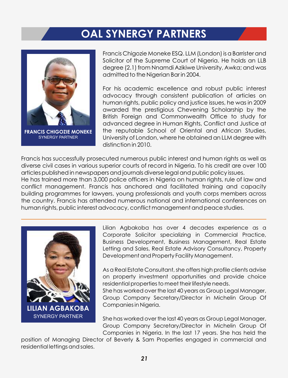# **OAL SYNERGY PARTNERS**



**FRANCIS CHIGOZIE MONEKE**  SYNERGY PARTNER

Francis Chigozie Moneke ESQ. LLM (London) is a Barrister and Solicitor of the Supreme Court of Nigeria. He holds an LLB degree (2.1) from Nnamdi Azikiwe University, Awka; and was admitted to the Nigerian Bar in 2004.

For his academic excellence and robust public interest advocacy through consistent publication of articles on human rights, public policy and justice issues, he was in 2009 awarded the prestigious Chevening Scholarship by the British Foreign and Commonwealth Office to study for advanced degree in Human Rights, Conflict and Justice at the reputable School of Oriental and African Studies, University of London, where he obtained an LLM degree with distinction in 2010.

Francis has successfully prosecuted numerous public interest and human rights as well as diverse civil cases in various superior courts of record in Nigeria. To his credit are over 100 articles published in newspapers and journals diverse legal and public policy issues. He has trained more than 3,000 police officers in Nigeria on human rights, rule of law and conflict management. Francis has anchored and facilitated training and capacity building programmes for lawyers, young professionals and youth corps members across the country. Francis has attended numerous national and international conferences on human rights, public interest advocacy, conflict management and peace studies.



Lilian Agbakoba has over 4 decades experience as a Corporate Solicitor specializing in Commercial Practice, Business Development, Business Management, Real Estate Letting and Sales, Real Estate Advisory Consultancy, Property Development and Property Facility Management.

As a Real Estate Consultant, she offers high profile clients advise on property investment opportunities and provide choice residential properties to meet their lifestyle needs.

She has worked over the last 40 years as Group Legal Manager, Group Company Secretary/Director in Michelin Group Of Companies in Nigeria.

She has worked over the last 40 years as Group Legal Manager, Group Company Secretary/Director in Michelin Group Of Companies in Nigeria. In the last 17 years. She has held the

position of Managing Director of Beverly & Sam Properties engaged in commercial and residential lettings and sales.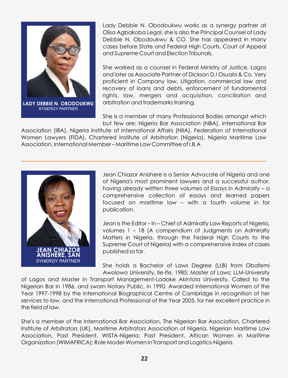

**LADY DEBBIE N. OBODOUKWU** SYNERGY PARTNER

Lady Debbie N. Obodoukwu works as a synergy partner at Olisa Agbakoba Legal, she is also the Principal Counsel of Lady Debbie N. Obodoukwu & CO. She has appeared in many cases before State and Federal High Courts, Court of Appeal and Supreme Court and Election Tribunals.

She worked as a counsel in Federal Ministry of Justice, Lagos and later as Associate Partner of Dickson D.I Osuala & Co. Very proficient in Company law, Litigation, commercial law and recovery of loans and debts, enforcement of fundamental rights, law, mergers and acquisition, conciliation and arbitration and trademarks training.

She is a member of many Professional Bodies amongst which but few are: Nigeria Bar Association (NBA), International Bar

Association (IBA), Nigeria Institute of International Affairs (NIIA), Federation of International Women Lawyers (FIDA), Chartered Institute of Arbitration (Nigeria), Nigeria Maritime Law Association, International Member – Maritime Law Committee of I.B.A



Jean Chiazor Anishere is a Senior Advocate of Nigeria and one of Nigeria's most prominent lawyers and a successful author, having already written three volumes of *Essays in Admiralty –* a comprehensive collection of essays and learned papers focused on maritime law – with a fourth volume in for publication.

Jean is the Editor – In – Chief of Admiralty Law Reports of Nigeria, volumes 1 – 18 (A compendium of Judgments on Admiralty Matters in Nigeria, through the Federal High Courts to the Supreme Court of Nigeria) with a comprehensive index of cases published so far.

She holds a Bachelor of Laws Degree (LLB) from Obafemi Awolowo University, Ile-Ife, 1985; Master of Laws; LLM-University

of Lagos and Master in Transport Management-Ladoke Akintola University. Called to the Nigerian Bar in 1986, and sworn Notary Public, in 1990. Awarded International Women of the Year 1997-1998 by the International Biographical Centre of Cambridge in recognition of her services to law, and the International Professional of the Year 2005, for her excellent practice in the field of law.

She's a member of the International Bar Association, The Nigerian Bar Association, Chartered Institute of Arbitrators (UK), Maritime Arbitrators Association of Nigeria, Nigerian Maritime Law Association, Past President, WISTA-Nigeria; Past President, African Women in Maritime Organization (WIMAFRICA); Role Model-Women in Transport and Logistics-Nigeria.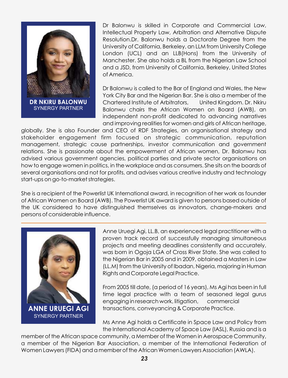

Dr Balonwu is skilled in Corporate and Commercial Law, Intellectual Property Law, Arbitration and Alternative Dispute Resolution.Dr. Balonwu holds a Doctorate Degree from the University of California, Berkeley, an LLM from University College London (UCL) and an LLB(Hons) from the University of Manchester. She also holds a BL from the Nigerian Law School and a JSD, from University of California, Berkeley, United States of America.

Dr Balonwu is called to the Bar of England and Wales, the New York City Bar and the Nigerian Bar. She is also a member of the Chartered Institute of Arbitrators, United Kingdom. Dr. Nkiru Balonwu chairs the African Women on Board (AWB), an independent non-profit dedicated to advancing narratives and improving realities for women and girls of African heritage,

globally. She is also Founder and CEO of RDF Strategies, an organisational strategy and stakeholder engagement firm focused on strategic communication, reputation management, strategic cause partnerships, investor communication and government relations. She is passionate about the empowerment of African women, Dr. Balonwu has advised various government agencies, political parties and private sector organisations on how to engage women in politics, in the workplace and as consumers. She sits on the boards of several organisations and not for profits, and advises various creative industry and technology start-ups on go-to-market strategies.

She is a recipient of the Powerlist UK International award, in recognition of her work as founder of African Women on Board (AWB). The Powerlist UK award is given to persons based outside of the UK considered to have distinguished themselves as innovators, change-makers and persons of considerable influence.



Anne Uruegi Agi, LL.B, an experienced legal practitioner with a proven track record of successfully managing simultaneous projects and meeting deadlines consistently and accurately, was born in Ogoja LGA of Cross River State. She was called to the Nigerian Bar in 2005 and in 2009, obtained a Masters in Law (LL.M) from the University of Ibadan, Nigeria, majoring in Human Rights and Corporate Legal Practice.

From 2005 till date, (a period of 16 years), Ms Agi has been in full time legal practice with a team of seasoned legal gurus engaging in research work, litigation, commercial transactions, conveyancing & Corporate Practice.

Ms Anne Agi holds a Certificate in Space Law and Policy from the International Academy of Space Law (IASL), Russia and is a

member of the African space community, a Member of the Women in Aerospace Community, a member of the Nigerian Bar Association, a member of the International Federation of Women Lawyers (FIDA) and a member of the African Women Lawyers Association (AWLA).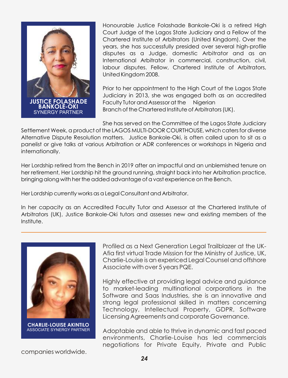

Honourable Justice Folashade Bankole-Oki is a retired High Court Judge of the Lagos State Judiciary and a Fellow of the Chartered Institute of Arbitrators (United Kingdom). Over the years, she has successfully presided over several high-profile disputes as a Judge, domestic Arbitrator and as an International Arbitrator in commercial, construction, civil, labour disputes. Fellow, Chartered Institute of Arbitrators, United Kingdom 2008.

Prior to her appointment to the High Court of the Lagos State Judiciary in 2013, she was engaged both as an accredited Faculty Tutor and Assessor at the Nigerian Branch of the Chartered Institute of Arbitrators (UK).

She has served on the Committee of the Lagos State Judiciary

Settlement Week, a product of the LAGOS MULTI-DOOR COURTHOUSE, which caters for diverse Alternative Dispute Resolution matters. Justice Bankole-Oki, is often called upon to sit as a panelist or give talks at various Arbitration or ADR conferences or workshops in Nigeria and internationally.

Her Lordship retired from the Bench in 2019 after an impactful and an unblemished tenure on her retirement, Her Lordship hit the ground running, straight back into her Arbitration practice, bringing along with her the added advantage of a vast experience on the Bench.

Her Lordship currently works as a Legal Consultant and Arbitrator.

In her capacity as an Accredited Faculty Tutor and Assessor at the Chartered Institute of Arbitrators (UK), Justice Bankole-Oki tutors and assesses new and existing members of the Institute.



**CHARLIE-LOUISE AKINTILO** ASSOCIATE SYNERGY PARTNER

Profiled as a Next Generation Legal Trailblazer at the UK-Afia first virtual Trade Mission for the Ministry of Justice, UK, Charlie-Louise is an expericed Legal Counsel and offshore Associate with over 5 years PQE.

Highly effective at providing legal advice and guidance to market-leading multinational corporations in the Software and Saas Industries, she is an innovative and strong legal professional skilled in matters concerning Technology, Intellectual Property, GDPR, Software Licensing Agreements and corporate Governance.

Adoptable and able to thrive in dynamic and fast paced environments, Charlie-Louise has led commercials negotiations for Private Equity, Private and Public

companies worldwide.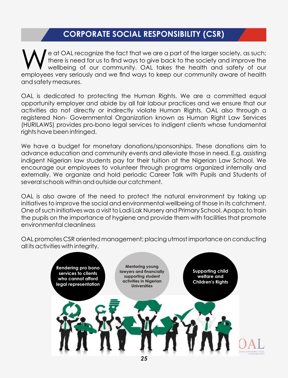## **CORPORATE SOCIAL RESPONSIBILITY (CSR)**

e at OAL recognize the fact that we are a part of the larger society, as such;<br>there is need for us to find ways to give back to the society and improve the wellbeing of our community. OAL takes the health and safety of our employees very seriously and we find ways to keep our community aware of health and safety measures.

OAL is dedicated to protecting the Human Rights. We are a committed equal opportunity employer and abide by all fair labour practices and we ensure that our activities do not directly or indirectly violate Human Rights. OAL also through a registered Non- Governmental Organization known as Human Right Law Services (HURILAWS) provides pro-bono legal services to indigent clients whose fundamental rights have been infringed.

We have a budget for monetary donations/sponsorships. These donations aim to advance education and community events and alleviate those in need. E.g. assisting indigent Nigerian law students pay for their tuition at the Nigerian Law School. We encourage our employees to volunteer through programs organized internally and externally. We organize and hold periodic Career Talk with Pupils and Students of several schools within and outside our catchment.

OAL is also aware of the need to protect the natural environment by taking up initiatives to improve the social and environmental wellbeing of those in its catchment. One of such initiatives was a visit to Ladi Lak Nursery and Primary School, Apapa; to train the pupils on the importance of hygiene and provide them with facilities that promote environmental cleanliness

OAL promotes CSR oriented management; placing utmost importance on conducting all its activities with integrity.

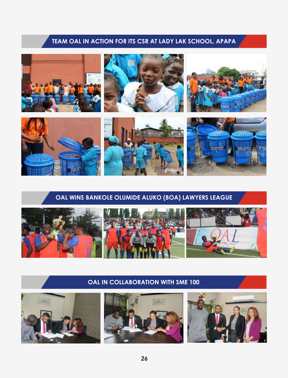### **TEAM OAL IN ACTION FOR ITS CSR AT LADY LAK SCHOOL, APAPA**



### **OAL WINS BANKOLE OLUMIDE ALUKO (BOA) LAWYERS LEAGUE**



### **OAL IN COLLABORATION WITH SME 100**

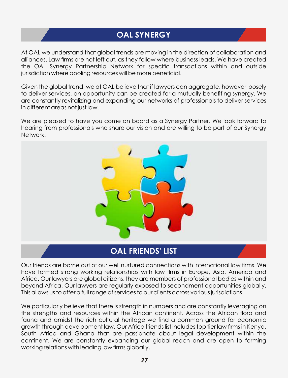# **OAL SYNERGY**

At OAL we understand that global trends are moving in the direction of collaboration and alliances. Law firms are not left out, as they follow where business leads. We have created the OAL Synergy Partnership Network for specific transactions within and outside jurisdiction where pooling resources will be more beneficial.

Given the global trend, we at OAL believe that if lawyers can aggregate, however loosely to deliver services, an opportunity can be created for a mutually benefiting synergy. We are constantly revitalizing and expanding our networks of professionals to deliver services in different areas not just law.

We are pleased to have you come on board as a Synergy Partner. We look forward to hearing from professionals who share our vision and are willing to be part of our Synergy Network.



### **OAL FRIENDS' LIST**

Our friends are borne out of our well nurtured connections with international law firms. We have formed strong working relationships with law firms in Europe, Asia, America and Africa. Our lawyers are global citizens, they are members of professional bodies within and beyond Africa. Our lawyers are regularly exposed to secondment opportunities globally. This allows us to offer a full range of services to our clients across various jurisdictions.

We particularly believe that there is strength in numbers and are constantly leveraging on the strengths and resources within the African continent. Across the African flora and fauna and amidst the rich cultural heritage we find a common ground for economic growth through development law. Our Africa friends list includes top tier law firms in Kenya, South Africa and Ghana that are passionate about legal development within the continent. We are constantly expanding our global reach and are open to forming working relations with leading law firms globally.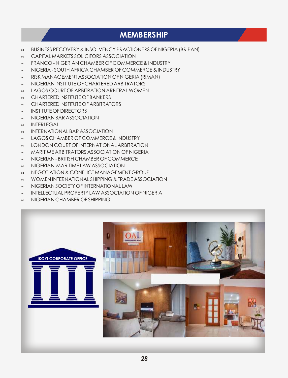### **MEMBERSHIP**

- ∞ BUSINESS RECOVERY & INSOLVENCY PRACTIONERS OF NIGERIA (BRIPAN)
- ∞ CAPITAL MARKETS SOLICITORS ASSOCIATION
- ∞ FRANCO NIGERIAN CHAMBER OF COMMERCE & INDUSTRY
- ∞ NIGERIA SOUTH AFRICA CHAMBER OF COMMERCE & INDUSTRY
- ∞ RISK MANAGEMENT ASSOCIATION OF NIGERIA (RIMAN)
- ∞ NIGERIAN INSTITUTE OF CHARTERED ARBITRATORS
- ∞ LAGOS COURT OF ARBITRATION ARBITRAL WOMEN
- ∞ CHARTERED INSTITUTE OF BANKERS
- ∞ CHARTERED INSTITUTE OF ARBITRATORS
- ∞ INSTITUTE OF DIRECTORS
- ∞ NIGERIAN BAR ASSOCIATION
- ∞ INTERLEGAL
- ∞ INTERNATIONAL BAR ASSOCIATION
- ∞ LAGOS CHAMBER OF COMMERCE & INDUSTRY
- ∞ LONDON COURT OF INTERNATIONAL ARBITRATION
- ∞ MARITIME ARBITRATORS ASSOCIATION OF NIGERIA
- ∞ NIGERIAN BRITISH CHAMBER OF COMMERCE
- ∞ NIGERIAN-MARITIME LAW ASSOCIATION
- ∞ NEGOTIATION & CONFLICT MANAGEMENT GROUP
- ∞ WOMEN INTERNATIONAL SHIPPING & TRADE ASSOCIATION
- ∞ NIGERIAN SOCIETY OF INTERNATIONAL LAW
- ∞ INTELLECTUAL PROPERTY LAW ASSOCIATION OF NIGERIA
- ∞ NIGERIAN CHAMBER OF SHIPPING